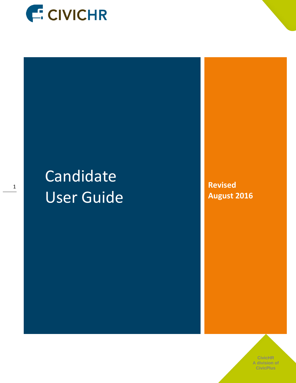

# Candidate User Guide

**Revised August 2016**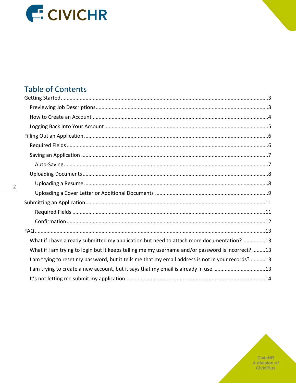

# **Table of Contents**

| What if I have already submitted my application but need to attach more documentation?13           |  |
|----------------------------------------------------------------------------------------------------|--|
| What if I am trying to login but it keeps telling me my username and/or password is incorrect?13   |  |
| I am trying to reset my password, but it tells me that my email address is not in your records? 13 |  |
| I am trying to create a new account, but it says that my email is already in use. 13               |  |
|                                                                                                    |  |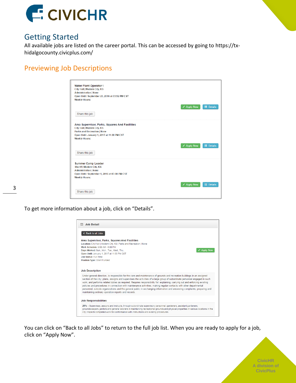

## <span id="page-2-0"></span>Getting Started

All available jobs are listed on the career portal. This can be accessed by going to https://txhidalgocounty.civicplus.com/

## <span id="page-2-1"></span>Previewing Job Descriptions

| <b>Water Plant Operator I</b>                                          |                    |                  |
|------------------------------------------------------------------------|--------------------|------------------|
| City Hall   Modern City, KS                                            |                    |                  |
| <b>Administrative   None</b>                                           |                    |                  |
| Open Until: September 23, 2016 at 03:52 PM CST<br><b>Weekly Hours:</b> |                    |                  |
|                                                                        |                    |                  |
|                                                                        | <b>∕</b> Apply Now | <b>E</b> Details |
|                                                                        |                    |                  |
| Share this job                                                         |                    |                  |
|                                                                        |                    |                  |
| Area Supervisor, Parks, Squares And Facilities                         |                    |                  |
| City Hall   Modern City, KS                                            |                    |                  |
| <b>Parks and Recreation   None</b>                                     |                    |                  |
| Open Until: January 1, 2017 at 11:00 PM CST                            |                    |                  |
| <b>Weekly Hours:</b>                                                   |                    |                  |
|                                                                        |                    |                  |
|                                                                        | <b>∕</b> Apply Now | <b>E</b> Details |
|                                                                        |                    |                  |
| Share this job                                                         |                    |                  |
|                                                                        |                    |                  |
| <b>Summer Camp Leader</b>                                              |                    |                  |
| <b>Sheriff   Modern City, KS</b>                                       |                    |                  |
| <b>Administrative   None</b>                                           |                    |                  |
| Open Until: September 1, 2016 at 03:00 PM CST                          |                    |                  |
| <b>Weekly Hours:</b>                                                   |                    |                  |
|                                                                        |                    |                  |
|                                                                        | ✔ Apply Now        | <b>E</b> Details |
|                                                                        |                    |                  |
| Share this job                                                         |                    |                  |
|                                                                        |                    |                  |

To get more information about a job, click on "Details".



You can click on "Back to all Jobs" to return to the full job list. When you are ready to apply for a job, click on "Apply Now".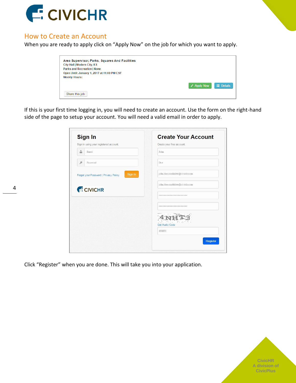

### <span id="page-3-0"></span>How to Create an Account

When you are ready to apply click on "Apply Now" on the job for which you want to apply.

| Area Supervisor, Parks, Squares And Facilities |                    |                  |
|------------------------------------------------|--------------------|------------------|
| City Hall   Modern City, KS                    |                    |                  |
| <b>Parks and Recreation   None</b>             |                    |                  |
| Open Until: January 1, 2017 at 11:00 PM CST    |                    |                  |
| <b>Weekly Hours:</b>                           |                    |                  |
|                                                | $\angle$ Apply Now | <b>E</b> Details |
| Share this job                                 |                    |                  |

If this is your first time logging in, you will need to create an account. Use the form on the right-hand side of the page to setup your account. You will need a valid email in order to apply.

| <b>Sign In</b>                                   | <b>Create Your Account</b>      |
|--------------------------------------------------|---------------------------------|
| Sign in using your registered account:           | Create your free account:       |
| å<br>Email                                       | John                            |
| P<br>Password                                    | Doe                             |
| Sign In<br>Forgot your Password   Privacy Policy | john.doe.candidate@civichr.com  |
| <b>E CIVICHR</b>                                 | john.doe.candidate@civichr.com  |
|                                                  | ------------------------------- |
|                                                  | ******************************  |
|                                                  | Get Audio Code                  |
|                                                  | 4NHT3                           |
|                                                  | Register                        |

**CivicHR A division of CivicPlus**

Click "Register" when you are done. This will take you into your application.

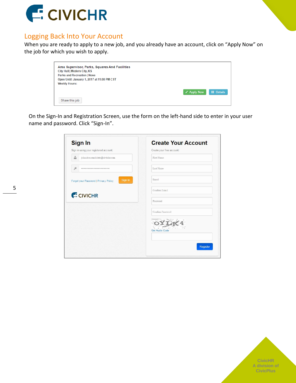

## <span id="page-4-0"></span>Logging Back Into Your Account

When you are ready to apply to a new job, and you already have an account, click on "Apply Now" on the job for which you wish to apply.

| Area Supervisor, Parks, Squares And Facilities |                                 |
|------------------------------------------------|---------------------------------|
| City Hall   Modern City, KS                    |                                 |
| <b>Parks and Recreation   None</b>             |                                 |
| Open Until: January 1, 2017 at 11:00 PM CST    |                                 |
| <b>Weekly Hours:</b>                           |                                 |
|                                                | $\equiv$ Details<br>✔ Apply Now |
| Share this job                                 |                                 |

On the Sign-In and Registration Screen, use the form on the left-hand side to enter in your user name and password. Click "Sign-In".

| <b>Sign In</b>                                   | <b>Create Your Account</b> |
|--------------------------------------------------|----------------------------|
| Sign in using your registered account:           | Create your free account:  |
| å<br>john.doe.candidate@civichr.com              | First Name                 |
| ₽<br>,,,,,,,,,,,,,,,,,,,,,,,,,,,,,,,             | Last Name                  |
| Sign In<br>Forgot your Password   Privacy Policy | Email                      |
| <b>E CIVICHR</b>                                 | Confirm Email              |
|                                                  | Password                   |
|                                                  | Confirm Password           |
|                                                  |                            |
|                                                  | <b>Get Audio Code</b>      |
|                                                  |                            |
|                                                  | Register                   |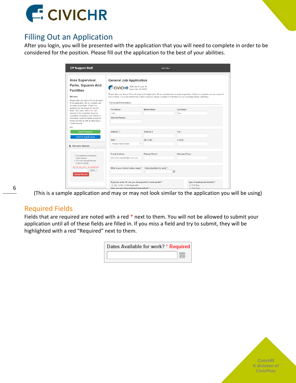

# <span id="page-5-0"></span>Filling Out an Application

After you login, you will be presented with the application that you will need to complete in order to be considered for the position. Please fill out the application to the best of your abilities.

| <b>CP Support Staff</b>                                                                                                                     |                                                                                                                                                                                                                                                                                         | John Doe -                  |                        |                                            |
|---------------------------------------------------------------------------------------------------------------------------------------------|-----------------------------------------------------------------------------------------------------------------------------------------------------------------------------------------------------------------------------------------------------------------------------------------|-----------------------------|------------------------|--------------------------------------------|
| <b>Area Supervisor,</b>                                                                                                                     | <b>General Job Application</b>                                                                                                                                                                                                                                                          |                             |                        |                                            |
|                                                                                                                                             |                                                                                                                                                                                                                                                                                         |                             |                        |                                            |
| <b>Parks, Squares And</b>                                                                                                                   | CIVICHR <sup>1000</sup> Oak St suite 19                                                                                                                                                                                                                                                 |                             |                        |                                            |
| <b>Facilities</b>                                                                                                                           |                                                                                                                                                                                                                                                                                         |                             |                        |                                            |
| Welcome                                                                                                                                     | Please take your time to fill out all areas of the application. Be as complete and accurate as possible. If there is a question you are unsure of,<br>leave it blank. If you are notified that a field is required, please complete it to the best of your knowledge before submitting. |                             |                        |                                            |
| Please take your time to fill out all areas<br>of the application. Be as complete and<br>accurate as possible. If there is a                | <b>Personal Information</b>                                                                                                                                                                                                                                                             |                             |                        |                                            |
| question you are unsure of, leave it<br>blank. Only items with a red * are                                                                  | First Name*                                                                                                                                                                                                                                                                             | <b>Middle Name</b>          | Last Name*             |                                            |
| required to be completed; however,                                                                                                          | John                                                                                                                                                                                                                                                                                    |                             | Doe                    |                                            |
| completion of employer and reference<br>information would be helpful during the<br>review process as well as attaching a<br>current resume. | <b>Alternate Names</b>                                                                                                                                                                                                                                                                  |                             |                        |                                            |
| test                                                                                                                                        |                                                                                                                                                                                                                                                                                         |                             |                        |                                            |
| <b>Save Progress</b>                                                                                                                        | Address 1*                                                                                                                                                                                                                                                                              | <b>Address 2</b>            | City <sup>*</sup>      |                                            |
| <b>Submit Application</b>                                                                                                                   | State <sup>*</sup>                                                                                                                                                                                                                                                                      | Zip Code*                   | County <sup>*</sup>    |                                            |
|                                                                                                                                             | -Please Select State-                                                                                                                                                                                                                                                                   | $\boldsymbol{\mathrm{v}}$   |                        |                                            |
| <b>E</b> Resume Upload                                                                                                                      |                                                                                                                                                                                                                                                                                         |                             |                        |                                            |
| 1. Click Select to browse and                                                                                                               | <b>F-mail Address</b>                                                                                                                                                                                                                                                                   | Primary Phone*              | <b>Alternate Phone</b> |                                            |
| select resume.<br>2. Click red Upload Resume<br>button to upload.                                                                           | john.doe.candidate@civichr.com                                                                                                                                                                                                                                                          |                             |                        |                                            |
| .pdf, .txt, .doc, .docx., .xls, xlsx files only.<br>Select<br><b>Upload Resume</b>                                                          | What is your desired salary range? *                                                                                                                                                                                                                                                    | Dates Available for work? * | 圃                      |                                            |
|                                                                                                                                             | If you are under 18, can you show proof of a work permit? *                                                                                                                                                                                                                             |                             |                        | Type of employment desired? *<br>Full-Time |
|                                                                                                                                             | ◯ Yes ◯ No ◯ Not Applicable<br>Have you ever heen employed here before? *                                                                                                                                                                                                               |                             |                        | Dort-Time                                  |

6

(This is a sample application and may or may not look similar to the application you will be using)

#### <span id="page-5-1"></span>Required Fields

Fields that are required are noted with a red \* next to them. You will not be allowed to submit your application until all of these fields are filled in. If you miss a field and try to submit, they will be highlighted with a red "Required" next to them.

| Dates Available for work? * Required |  |
|--------------------------------------|--|
|                                      |  |

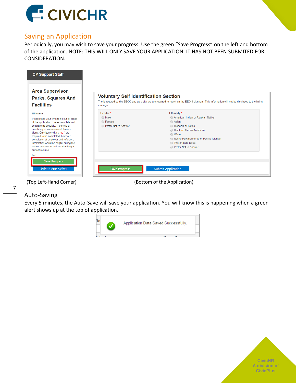

## <span id="page-6-0"></span>Saving an Application

Periodically, you may wish to save your progress. Use the green "Save Progress" on the left and bottom of the application. NOTE: THIS WILL ONLY SAVE YOUR APPLICATION. IT HAS NOT BEEN SUBMITED FOR CONSIDERATION.



(Top Left-Hand Corner) (Bottom of the Application)

## <span id="page-6-1"></span>Auto-Saving

7

Every 5 minutes, the Auto-Save will save your application. You will know this is happening when a green alert shows up at the top of application.



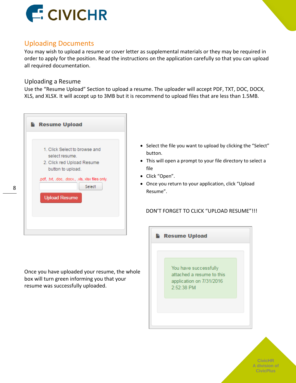

## <span id="page-7-0"></span>Uploading Documents

You may wish to upload a resume or cover letter as supplemental materials or they may be required in order to apply for the position. Read the instructions on the application carefully so that you can upload all required documentation.

#### <span id="page-7-1"></span>Uploading a Resume

Use the "Resume Upload" Section to upload a resume. The uploader will accept PDF, TXT, DOC, DOCX, XLS, and XLSX. It will accept up to 3MB but it is recommend to upload files that are less than 1.5MB.



- Select the file you want to upload by clicking the "Select" button.
- This will open a prompt to your file directory to select a file
- Click "Open".
- Once you return to your application, click "Upload Resume".

#### DON'T FORGET TO CLICK "UPLOAD RESUME"!!!

Once you have uploaded your resume, the whole box will turn green informing you that your resume was successfully uploaded.

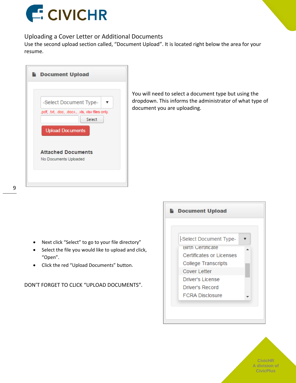

#### <span id="page-8-0"></span>Uploading a Cover Letter or Additional Documents

Use the second upload section called, "Document Upload". It is located right below the area for your resume.



You will need to select a document type but using the dropdown. This informs the administrator of what type of document you are uploading.

- Next click "Select" to go to your file directory"
- Select the file you would like to upload and click, "Open".
- Click the red "Upload Documents" button.

DON'T FORGET TO CLICK "UPLOAD DOCUMENTS".

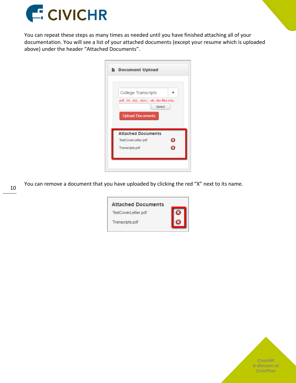

You can repeat these steps as many times as needed until you have finished attaching all of your documentation. You will see a list of your attached documents (except your resume which is uploaded above) under the header "Attached Documents".

| <b>Document Upload</b>                                                                                              |
|---------------------------------------------------------------------------------------------------------------------|
| <b>College Transcripts</b><br>.pdf, .txt, .doc, .docx., .xls, xlsx files only.<br>Select<br><b>Upload Documents</b> |
| <b>Attached Documents</b><br>TestCoverLetter.pdf                                                                    |
| Transcripts.pdf                                                                                                     |
|                                                                                                                     |

You can remove a document that you have uploaded by clicking the red "X" next to its name.



10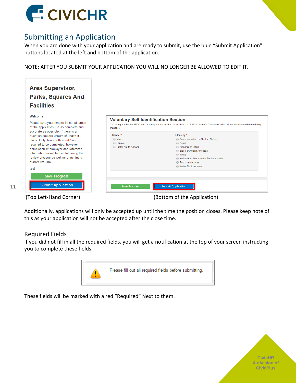

# <span id="page-10-0"></span>Submitting an Application

When you are done with your application and are ready to submit, use the blue "Submit Application" buttons located at the left and bottom of the application.

NOTE: AFTER YOU SUBMIT YOUR APPLICATION YOU WILL NO LONGER BE ALLOWED TO EDIT IT.

| <b>Area Supervisor,</b><br><b>Parks, Squares And</b><br><b>Facilities</b><br>Welcome<br>Please take your time to fill out all areas<br>of the application. Be as complete and                                                                                                                                  | <b>Voluntary Self Identification Section</b><br>The is requred by the EEOC and as a city we are required to report on the EEO-4 biannual. This information will not be disclosed to the hiring<br>manager.                                                                                         |  |
|----------------------------------------------------------------------------------------------------------------------------------------------------------------------------------------------------------------------------------------------------------------------------------------------------------------|----------------------------------------------------------------------------------------------------------------------------------------------------------------------------------------------------------------------------------------------------------------------------------------------------|--|
| accurate as possible. If there is a<br>question you are unsure of, leave it<br>blank. Only items with a red * are<br>required to be completed; however,<br>completion of employer and reference<br>information would be helpful during the<br>review process as well as attaching a<br>current resume.<br>test | Ethnicity <sup>*</sup><br>Gender*<br>◯ Male<br>American Indian or Alaskan Native<br>◯ Female<br>◯ Asian<br>Prefer Not to Answer<br>Hispanic or Latino<br>◯ Black or African American<br>◯ White<br>A Native Hawaiian or other Pacific Islander<br><b>Two or more races</b><br>Prefer Not to Answer |  |
| <b>Save Progress</b><br><b>Submit Application</b>                                                                                                                                                                                                                                                              | <b>Submit Application</b><br><b>Save Progress</b>                                                                                                                                                                                                                                                  |  |
| (Top Left-Hand Corner)                                                                                                                                                                                                                                                                                         | (Bottom of the Application)                                                                                                                                                                                                                                                                        |  |

Additionally, applications will only be accepted up until the time the position closes. Please keep note of this as your application will not be accepted after the close time.

#### <span id="page-10-1"></span>Required Fields

11

If you did not fill in all the required fields, you will get a notification at the top of your screen instructing you to complete these fields.



These fields will be marked with a red "Required" Next to them.

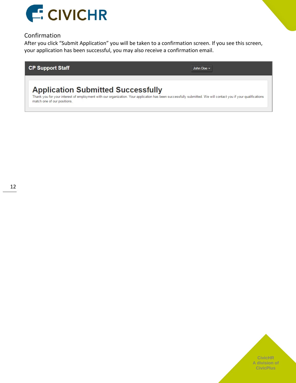

#### <span id="page-11-0"></span>Confirmation

After you click "Submit Application" you will be taken to a confirmation screen. If you see this screen, your application has been successful, you may also receive a confirmation email.

#### **CP Support Staff**

John Doe -

# **Application Submitted Successfully**

Thank you for your interest of employment with our organization. Your application has been successfully submitted. We will contact you if your qualifications match one of our positions.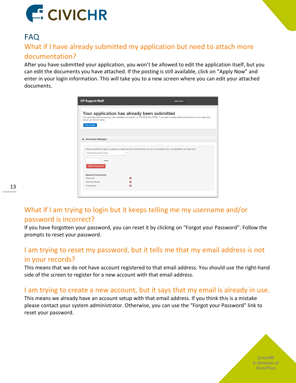

# <span id="page-12-0"></span>FAQ

## <span id="page-12-1"></span>What if I have already submitted my application but need to attach more documentation?

After you have submitted your application, you won't be allowed to edit the application itself, but you can edit the documents you have attached. If the posting is still available, click on "Apply Now" and enter in your login information. This will take you to a new screen where you can edit your attached documents.

| Your application has already been submitted<br>Your application and all resources were submitted successfully on 7/31/2016 8:24:47 PM. If you need to upload additional documents to your application,<br>please use the form below.<br>View all jobs<br><b>b</b> Document Manager<br>Please use the form below to upload any additional documentation that you may have missed when you submitted your application.<br>-Select Document Type-<br>$\mathbf v$<br>Select<br><b>Upload Documents</b><br><b>Attached Documents</b><br>Resume.pdf<br>ø<br>TestCoverLetter.pdf<br>ø | <b>CP Support Staff</b> | John Doe - |
|--------------------------------------------------------------------------------------------------------------------------------------------------------------------------------------------------------------------------------------------------------------------------------------------------------------------------------------------------------------------------------------------------------------------------------------------------------------------------------------------------------------------------------------------------------------------------------|-------------------------|------------|
|                                                                                                                                                                                                                                                                                                                                                                                                                                                                                                                                                                                |                         |            |
|                                                                                                                                                                                                                                                                                                                                                                                                                                                                                                                                                                                |                         |            |
|                                                                                                                                                                                                                                                                                                                                                                                                                                                                                                                                                                                |                         |            |
|                                                                                                                                                                                                                                                                                                                                                                                                                                                                                                                                                                                |                         |            |
|                                                                                                                                                                                                                                                                                                                                                                                                                                                                                                                                                                                |                         |            |
|                                                                                                                                                                                                                                                                                                                                                                                                                                                                                                                                                                                |                         |            |
|                                                                                                                                                                                                                                                                                                                                                                                                                                                                                                                                                                                |                         |            |
|                                                                                                                                                                                                                                                                                                                                                                                                                                                                                                                                                                                |                         |            |
| Transcripts.pdf<br>ø                                                                                                                                                                                                                                                                                                                                                                                                                                                                                                                                                           |                         |            |

## <span id="page-12-2"></span>What if I am trying to login but it keeps telling me my username and/or password is incorrect?

If you have forgotten your password, you can reset it by clicking on "Forgot your Password". Follow the prompts to reset your password.

## <span id="page-12-3"></span>I am trying to reset my password, but it tells me that my email address is not in your records?

This means that we do not have account registered to that email address. You should use the right-hand side of the screen to register for a new account with that email address.

## <span id="page-12-4"></span>I am trying to create a new account, but it says that my email is already in use.

This means we already have an account setup with that email address. If you think this is a mistake please contact your system administrator. Otherwise, you can use the "Forgot your Password" link to reset your password.